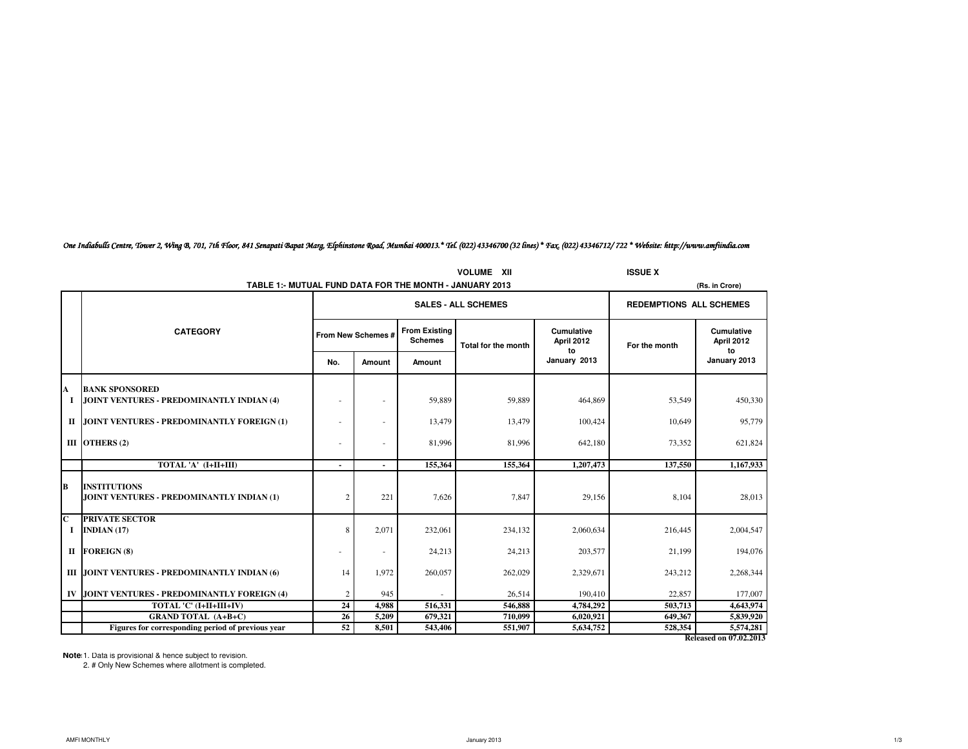|                               |                                                                  | <b>ISSUE X</b>     |        |                                        |                            |                                |                                |                                     |
|-------------------------------|------------------------------------------------------------------|--------------------|--------|----------------------------------------|----------------------------|--------------------------------|--------------------------------|-------------------------------------|
|                               | TABLE 1:- MUTUAL FUND DATA FOR THE MONTH - JANUARY 2013          |                    |        |                                        |                            |                                |                                | (Rs. in Crore)                      |
|                               |                                                                  |                    |        |                                        | <b>SALES - ALL SCHEMES</b> |                                | <b>REDEMPTIONS ALL SCHEMES</b> |                                     |
|                               | <b>CATEGORY</b>                                                  | From New Schemes # |        | <b>From Existing</b><br><b>Schemes</b> | <b>Total for the month</b> | Cumulative<br>April 2012<br>to | For the month                  | Cumulative<br>April 2012<br>to      |
|                               |                                                                  | No.                | Amount | Amount                                 |                            | January 2013                   |                                | January 2013                        |
| A                             | <b>BANK SPONSORED</b>                                            |                    |        |                                        |                            |                                |                                |                                     |
|                               | JOINT VENTURES - PREDOMINANTLY INDIAN (4)                        |                    | ÷      | 59,889                                 | 59,889                     | 464,869                        | 53,549                         | 450,330                             |
|                               | II JOINT VENTURES - PREDOMINANTLY FOREIGN (1)                    |                    | ٠      | 13,479                                 | 13,479                     | 100,424                        | 10,649                         | 95,779                              |
|                               | III OTHERS (2)                                                   |                    | ٠      | 81,996                                 | 81,996                     | 642,180                        | 73,352                         | 621,824                             |
|                               | TOTAL 'A' (I+II+III)                                             |                    | $\sim$ | 155,364                                | 155,364                    | 1,207,473                      | 137.550                        | 1,167,933                           |
| B                             | <b>INSTITUTIONS</b><br>JOINT VENTURES - PREDOMINANTLY INDIAN (1) | 2                  | 221    | 7,626                                  | 7.847                      | 29,156                         | 8.104                          | 28,013                              |
| $\overline{\mathbf{c}}$<br>Ι. | <b>PRIVATE SECTOR</b><br>INDIAN $(17)$                           | 8                  | 2,071  | 232,061                                | 234,132                    | 2,060,634                      | 216,445                        | 2,004,547                           |
|                               | II FOREIGN (8)                                                   |                    | ٠      | 24,213                                 | 24,213                     | 203,577                        | 21,199                         | 194,076                             |
|                               | III JOINT VENTURES - PREDOMINANTLY INDIAN (6)                    | 14                 | 1.972  | 260,057                                | 262,029                    | 2,329,671                      | 243,212                        | 2,268,344                           |
|                               | IV JOINT VENTURES - PREDOMINANTLY FOREIGN (4)                    | 2                  | 945    |                                        | 26,514                     | 190,410                        | 22,857                         | 177,007                             |
|                               | TOTAL 'C' (I+II+III+IV)                                          | 24                 | 4,988  | 516,331                                | 546,888                    | 4,784,292                      | 503,713                        | 4,643,974                           |
|                               | <b>GRAND TOTAL (A+B+C)</b>                                       | 26                 | 5,209  | 679,321                                | 710.099                    | 6,020,921                      | 649,367                        | 5,839,920                           |
|                               | Figures for corresponding period of previous year                | 52                 | 8.501  | 543,406                                | 551.907                    | 5,634,752                      | 528.354                        | 5,574,281<br>Released on 07.02.2013 |

*One Indiabulls Centre, Tower 2, Wing B, 701, 7th Floor, 841 Senapati Bapat Marg, Elphinstone Road, Mumbai 400013.\* Tel. (022) 43346700 (32 lines) \* Fax. (022) 43346712/ 722 \* Website: http://www.amfiindia.com*

Note 1. Data is provisional & hence subject to revision.

2. # Only New Schemes where allotment is completed.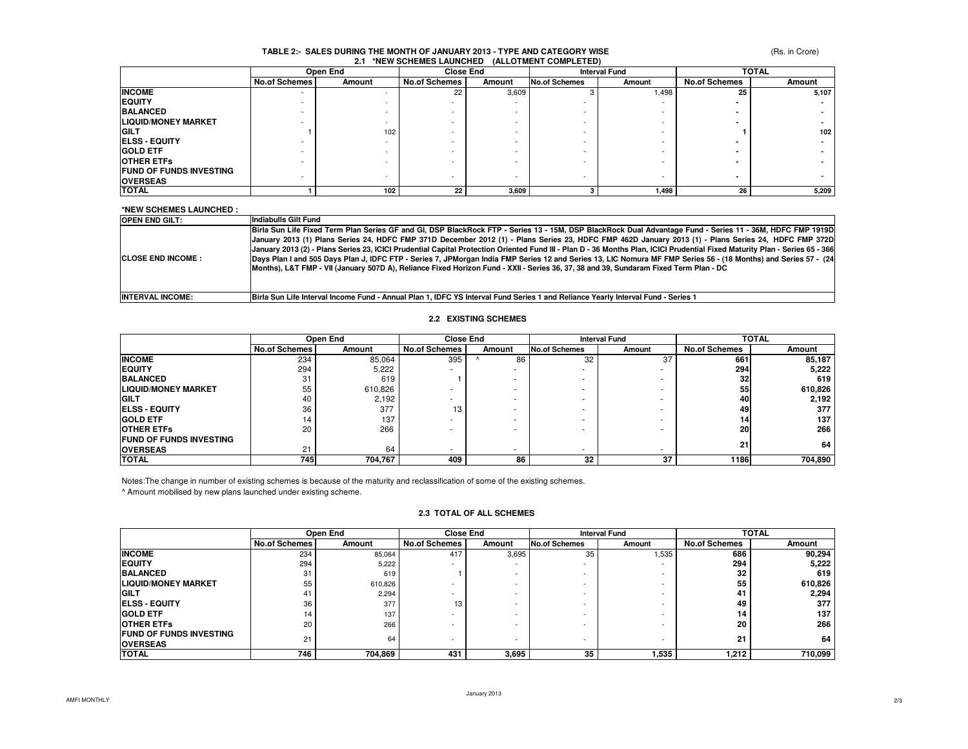## **TABLE 2:- SALES DURING THE MONTH OF JANUARY 2013 - TYPE AND CATEGORY WISE2.1 \*NEW SCHEMES LAUNCHED (ALLOTMENT COMPLETED)**

(Rs. in Crore)

|                                | Open End             |        | <b>Close End</b>     |                          | <b>Interval Fund</b> |        | <b>TOTAL</b>         |        |
|--------------------------------|----------------------|--------|----------------------|--------------------------|----------------------|--------|----------------------|--------|
|                                | <b>No.of Schemes</b> | Amount | <b>No.of Schemes</b> | Amount                   | <b>No.of Schemes</b> | Amount | <b>No.of Schemes</b> | Amount |
| <b>INCOME</b>                  | ۰.                   |        | 22                   | 3,609                    |                      | 1,498  | 25                   | 5,107  |
| <b>EQUITY</b>                  |                      |        |                      |                          |                      |        |                      |        |
| <b>BALANCED</b>                |                      |        |                      |                          |                      |        |                      |        |
| <b>LIQUID/MONEY MARKET</b>     |                      |        |                      |                          |                      |        |                      |        |
| <b>GILT</b>                    |                      | 102    |                      |                          |                      |        |                      | 102    |
| <b>IELSS - EQUITY</b>          |                      |        |                      | $\overline{\phantom{a}}$ |                      |        |                      |        |
| IGOLD ETF                      |                      |        |                      |                          |                      |        |                      |        |
| <b>OTHER ETFS</b>              |                      |        |                      |                          |                      |        |                      |        |
| <b>FUND OF FUNDS INVESTING</b> |                      |        |                      |                          | ۰                    |        |                      |        |
| <b>OVERSEAS</b>                |                      |        |                      |                          |                      |        |                      |        |
| <b>TOTAL</b>                   |                      | 102    | 22                   | 3,609                    |                      | 1,498  | 26                   | 5,209  |

| <b>OPEN END GILT:</b><br>Indiabulls Gilt Fund<br>Months), L&T FMP - VII (January 507D A), Reliance Fixed Horizon Fund - XXII - Series 36, 37, 38 and 39, Sundaram Fixed Term Plan - DC | *NEW SCHEMES LAUNCHED :    |                                                                                                                                                                                                                                                                                                                                                                                                                                                                                                                                                                                                                                                                     |
|----------------------------------------------------------------------------------------------------------------------------------------------------------------------------------------|----------------------------|---------------------------------------------------------------------------------------------------------------------------------------------------------------------------------------------------------------------------------------------------------------------------------------------------------------------------------------------------------------------------------------------------------------------------------------------------------------------------------------------------------------------------------------------------------------------------------------------------------------------------------------------------------------------|
|                                                                                                                                                                                        |                            |                                                                                                                                                                                                                                                                                                                                                                                                                                                                                                                                                                                                                                                                     |
|                                                                                                                                                                                        | <b>ICLOSE END INCOME :</b> | Birla Sun Life Fixed Term Plan Series GF and GI, DSP BlackRock FTP - Series 13 - 15M, DSP BlackRock Dual Advantage Fund - Series 11 - 36M, HDFC FMP 1919D<br>January 2013 (1) Plans Series 24, HDFC FMP 371D December 2012 (1) - Plans Series 23, HDFC FMP 462D January 2013 (1) - Plans Series 24, HDFC FMP 372D<br>January 2013 (2) - Plans Series 23, ICICI Prudential Capital Protection Oriented Fund III - Plan D - 36 Months Plan, ICICI Prudential Fixed Maturity Plan - Series 65 - 366<br>Days Plan I and 505 Days Plan J, IDFC FTP - Series 7, JPMorgan India FMP Series 12 and Series 13, LIC Nomura MF FMP Series 56 - (18 Months) and Series 57 - (24 |
|                                                                                                                                                                                        | <b>INTERVAL INCOME:</b>    | Birla Sun Life Interval Income Fund - Annual Plan 1, IDFC YS Interval Fund Series 1 and Reliance Yearly Interval Fund - Series 1                                                                                                                                                                                                                                                                                                                                                                                                                                                                                                                                    |

# **2.2 EXISTING SCHEMES**

|                                | Open End             |         | <b>Close End</b>     |        | <b>Interval Fund</b> |        | <b>TOTAL</b>         |         |
|--------------------------------|----------------------|---------|----------------------|--------|----------------------|--------|----------------------|---------|
|                                | <b>No.of Schemes</b> | Amount  | <b>No.of Schemes</b> | Amount | <b>No.of Schemes</b> | Amount | <b>No.of Schemes</b> | Amount  |
| <b>INCOME</b>                  | 234                  | 85,064  | 395                  | 86     | 32                   | 37     | 661                  | 85,187  |
| <b>EQUITY</b>                  | 294                  | 5.222   |                      |        |                      |        | 294                  | 5,222   |
| <b>BALANCED</b>                | 31                   | 619     |                      |        |                      |        | 32                   | 619     |
| <b>ILIQUID/MONEY MARKET</b>    | 55                   | 610,826 |                      |        |                      |        | 55                   | 610,826 |
| <b>GILT</b>                    | 40                   | 2.192   |                      |        |                      |        | 40                   | 2,192   |
| <b>ELSS - EQUITY</b>           | 36                   | 377     | 13                   |        |                      |        | 49                   | 377     |
| <b>GOLD ETF</b>                | ۱4                   | 137     |                      |        |                      |        | 14                   | 137     |
| <b>OTHER ETFS</b>              | 20                   | 266     |                      |        |                      |        | <b>20</b>            | 266     |
| <b>FUND OF FUNDS INVESTING</b> |                      |         |                      |        |                      |        | 21                   | 64      |
| <b>OVERSEAS</b>                | 21                   | 64      |                      |        |                      | ۰      |                      |         |
| <b>TOTAL</b>                   | 745                  | 704,767 | 409                  | 86     | 32                   | 37     | 1186                 | 704,890 |

Notes:The change in number of existing schemes is because of the maturity and reclassification of some of the existing schemes.

^ Amount mobilised by new plans launched under existing scheme.

# **2.3 TOTAL OF ALL SCHEMES**

|                                                   | Open End             |         | <b>Close End</b>     |                          | <b>Interval Fund</b> |        | <b>TOTAL</b>         |         |
|---------------------------------------------------|----------------------|---------|----------------------|--------------------------|----------------------|--------|----------------------|---------|
|                                                   | <b>No.of Schemes</b> | Amount  | <b>No.of Schemes</b> | Amount                   | <b>No.of Schemes</b> | Amount | <b>No.of Schemes</b> | Amount  |
| <b>INCOME</b>                                     | 234                  | 85,064  | 417                  | 3,695                    | 35                   | 1,535  | 686                  | 90.294  |
| <b>EQUITY</b>                                     | 294                  | 5,222   |                      | $\overline{\phantom{a}}$ | -                    |        | 294                  | 5,222   |
| <b>BALANCED</b>                                   | 31                   | 619     |                      | $\overline{\phantom{a}}$ |                      |        | 32                   | 619     |
| <b>LIQUID/MONEY MARKET</b>                        | 55                   | 610,826 |                      | $\overline{\phantom{a}}$ | -                    |        | 55                   | 610,826 |
| GILT                                              |                      | 2,294   |                      | $\overline{\phantom{a}}$ |                      |        | -41                  | 2,294   |
| <b>ELSS - EQUITY</b>                              | 36                   | 377     | 13                   | $\overline{\phantom{a}}$ | -                    |        | 49                   | 377     |
| <b>GOLD ETF</b>                                   | 14                   | 137     |                      | $\overline{\phantom{a}}$ | -                    | -      | 14                   | 137     |
| <b>OTHER ETFS</b>                                 | 20                   | 266     |                      | $\overline{\phantom{a}}$ | -                    |        | 20                   | 266     |
| <b>FUND OF FUNDS INVESTING</b><br><b>OVERSEAS</b> | 21                   | 64      |                      | $\overline{\phantom{a}}$ | -                    | -      | 21                   | 64      |
| <b>TOTAL</b>                                      | 746                  | 704,869 | 431                  | 3,695                    | 35                   | 1,535  | 1,212                | 710,099 |